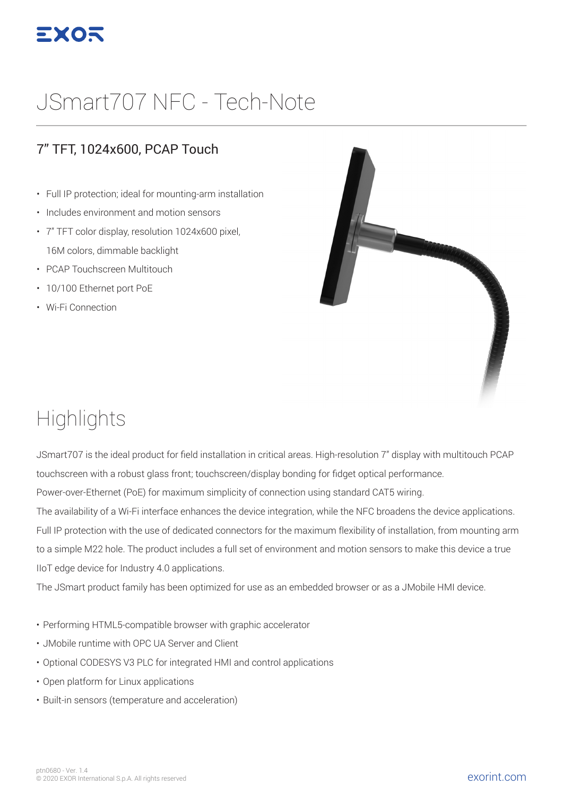

# JSmart707 NFC - Tech-Note

#### 7" TFT, 1024x600, PCAP Touch

- Full IP protection; ideal for mounting-arm installation
- Includes environment and motion sensors
- 7" TFT color display, resolution 1024x600 pixel, 16M colors, dimmable backlight
- PCAP Touchscreen Multitouch
- 10/100 Ethernet port PoE
- Wi-Fi Connection



## **Highlights**

JSmart707 is the ideal product for field installation in critical areas. High-resolution 7" display with multitouch PCAP touchscreen with a robust glass front; touchscreen/display bonding for fidget optical performance.

Power-over-Ethernet (PoE) for maximum simplicity of connection using standard CAT5 wiring.

The availability of a Wi-Fi interface enhances the device integration, while the NFC broadens the device applications. Full IP protection with the use of dedicated connectors for the maximum flexibility of installation, from mounting arm to a simple M22 hole. The product includes a full set of environment and motion sensors to make this device a true IIoT edge device for Industry 4.0 applications.

The JSmart product family has been optimized for use as an embedded browser or as a JMobile HMI device.

- Performing HTML5-compatible browser with graphic accelerator
- JMobile runtime with OPC UA Server and Client
- Optional CODESYS V3 PLC for integrated HMI and control applications
- Open platform for Linux applications
- Built-in sensors (temperature and acceleration)